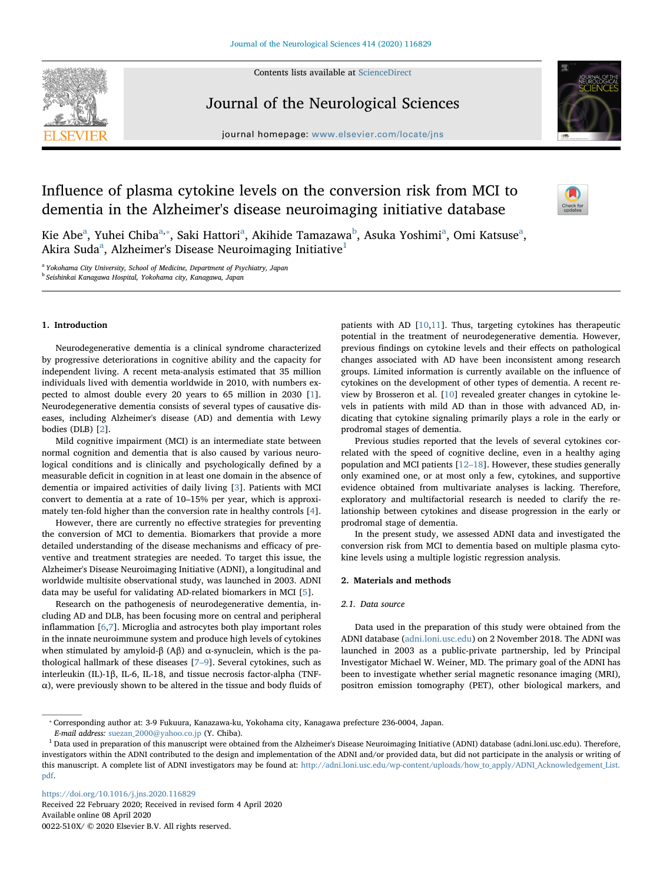Contents lists available at [ScienceDirect](http://www.sciencedirect.com/science/journal/0022510X)



Journal of the Neurological Sciences





# Influence of plasma cytokine levels on the conversion risk from MCI to dementia in the Alzheimer's disease neuroimaging initiative database



Kie Abe<sup>a</sup>, Yuhei Chiba<sup>[a,](#page-0-0)</sup>\*, S[a](#page-0-0)ki Hattori<sup>a</sup>, Akihide Tamazawa<sup>[b](#page-0-2)</sup>, Asuka Yoshimi<sup>a</sup>, Omi Katsuse<sup>a</sup>, Akira Suda $^{\rm a}$ , Alzheimer's Disease Neuroimaging Initiative $^{\rm 1}$  $^{\rm 1}$  $^{\rm 1}$ 

<span id="page-0-2"></span><span id="page-0-0"></span><sup>a</sup> Yokohama City University, School of Medicine, Department of Psychiatry, Japan <sup>b</sup> Seishinkai Kanagawa Hospital, Yokohama city, Kanagawa, Japan

# 1. Introduction

Neurodegenerative dementia is a clinical syndrome characterized by progressive deteriorations in cognitive ability and the capacity for independent living. A recent meta-analysis estimated that 35 million individuals lived with dementia worldwide in 2010, with numbers expected to almost double every 20 years to 65 million in 2030 [[1](#page-6-0)]. Neurodegenerative dementia consists of several types of causative diseases, including Alzheimer's disease (AD) and dementia with Lewy bodies (DLB) [[2](#page-6-1)].

Mild cognitive impairment (MCI) is an intermediate state between normal cognition and dementia that is also caused by various neurological conditions and is clinically and psychologically defined by a measurable deficit in cognition in at least one domain in the absence of dementia or impaired activities of daily living [[3](#page-6-2)]. Patients with MCI convert to dementia at a rate of 10–15% per year, which is approximately ten-fold higher than the conversion rate in healthy controls [[4](#page-6-3)].

However, there are currently no effective strategies for preventing the conversion of MCI to dementia. Biomarkers that provide a more detailed understanding of the disease mechanisms and efficacy of preventive and treatment strategies are needed. To target this issue, the Alzheimer's Disease Neuroimaging Initiative (ADNI), a longitudinal and worldwide multisite observational study, was launched in 2003. ADNI data may be useful for validating AD-related biomarkers in MCI [[5](#page-7-0)].

Research on the pathogenesis of neurodegenerative dementia, including AD and DLB, has been focusing more on central and peripheral inflammation [[6](#page-7-1),[7](#page-7-2)]. Microglia and astrocytes both play important roles in the innate neuroimmune system and produce high levels of cytokines when stimulated by amyloid-β (Aβ) and  $\alpha$ -synuclein, which is the pathological hallmark of these diseases [7–[9\]](#page-7-2). Several cytokines, such as interleukin (IL)-1β, IL-6, IL-18, and tissue necrosis factor-alpha (TNFα), were previously shown to be altered in the tissue and body fluids of patients with AD [\[10](#page-7-3),[11\]](#page-7-4). Thus, targeting cytokines has therapeutic potential in the treatment of neurodegenerative dementia. However, previous findings on cytokine levels and their effects on pathological changes associated with AD have been inconsistent among research groups. Limited information is currently available on the influence of cytokines on the development of other types of dementia. A recent review by Brosseron et al. [\[10](#page-7-3)] revealed greater changes in cytokine levels in patients with mild AD than in those with advanced AD, indicating that cytokine signaling primarily plays a role in the early or prodromal stages of dementia.

Previous studies reported that the levels of several cytokines correlated with the speed of cognitive decline, even in a healthy aging population and MCI patients [\[12](#page-7-5)–18]. However, these studies generally only examined one, or at most only a few, cytokines, and supportive evidence obtained from multivariate analyses is lacking. Therefore, exploratory and multifactorial research is needed to clarify the relationship between cytokines and disease progression in the early or prodromal stage of dementia.

In the present study, we assessed ADNI data and investigated the conversion risk from MCI to dementia based on multiple plasma cytokine levels using a multiple logistic regression analysis.

# 2. Materials and methods

## 2.1. Data source

Data used in the preparation of this study were obtained from the ADNI database ([adni.loni.usc.edu](http://adni.loni.usc.edu)) on 2 November 2018. The ADNI was launched in 2003 as a public-private partnership, led by Principal Investigator Michael W. Weiner, MD. The primary goal of the ADNI has been to investigate whether serial magnetic resonance imaging (MRI), positron emission tomography (PET), other biological markers, and

<https://doi.org/10.1016/j.jns.2020.116829>

Received 22 February 2020; Received in revised form 4 April 2020 Available online 08 April 2020 0022-510X/ © 2020 Elsevier B.V. All rights reserved.

<span id="page-0-1"></span><sup>⁎</sup> Corresponding author at: 3-9 Fukuura, Kanazawa-ku, Yokohama city, Kanagawa prefecture 236-0004, Japan.

E-mail address: [suezan\\_2000@yahoo.co.jp](mailto:suezan_2000@yahoo.co.jp) (Y. Chiba).

<span id="page-0-3"></span><sup>&</sup>lt;sup>1</sup> Data used in preparation of this manuscript were obtained from the Alzheimer's Disease Neuroimaging Initiative (ADNI) database (adni.loni.usc.edu). Therefore, investigators within the ADNI contributed to the design and implementation of the ADNI and/or provided data, but did not participate in the analysis or writing of this manuscript. A complete list of ADNI investigators may be found at: [http://adni.loni.usc.edu/wp-content/uploads/how\\_to\\_apply/ADNI\\_Acknowledgement\\_List.](http://adni.loni.usc.edu/wp-content/uploads/how_to_apply/ADNI_Acknowledgement_List.pdf) [pdf](http://adni.loni.usc.edu/wp-content/uploads/how_to_apply/ADNI_Acknowledgement_List.pdf).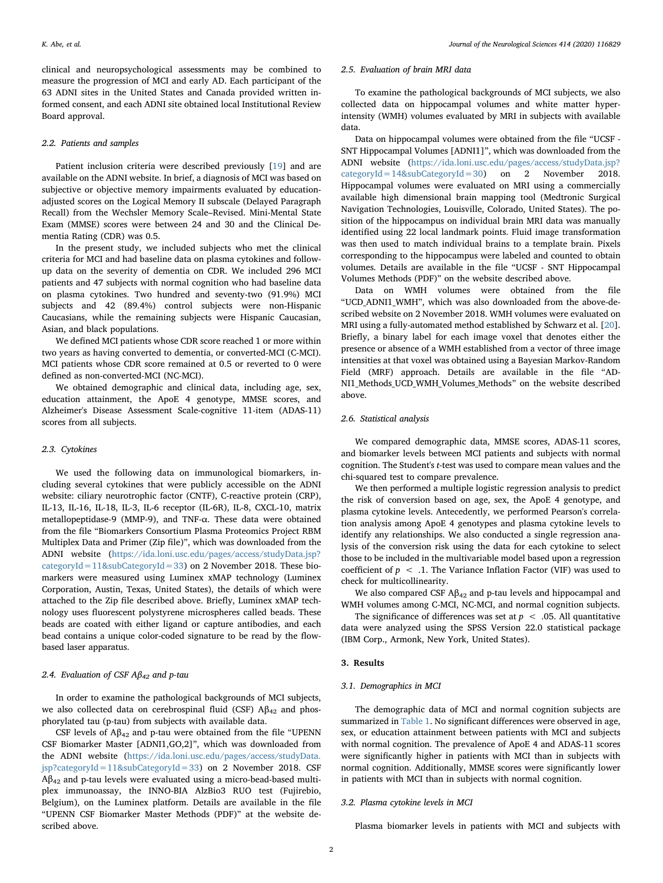clinical and neuropsychological assessments may be combined to measure the progression of MCI and early AD. Each participant of the 63 ADNI sites in the United States and Canada provided written informed consent, and each ADNI site obtained local Institutional Review Board approval.

#### 2.2. Patients and samples

Patient inclusion criteria were described previously [[19\]](#page-7-6) and are available on the ADNI website. In brief, a diagnosis of MCI was based on subjective or objective memory impairments evaluated by educationadjusted scores on the Logical Memory II subscale (Delayed Paragraph Recall) from the Wechsler Memory Scale–Revised. Mini-Mental State Exam (MMSE) scores were between 24 and 30 and the Clinical Dementia Rating (CDR) was 0.5.

In the present study, we included subjects who met the clinical criteria for MCI and had baseline data on plasma cytokines and followup data on the severity of dementia on CDR. We included 296 MCI patients and 47 subjects with normal cognition who had baseline data on plasma cytokines. Two hundred and seventy-two (91.9%) MCI subjects and 42 (89.4%) control subjects were non-Hispanic Caucasians, while the remaining subjects were Hispanic Caucasian, Asian, and black populations.

We defined MCI patients whose CDR score reached 1 or more within two years as having converted to dementia, or converted-MCI (C-MCI). MCI patients whose CDR score remained at 0.5 or reverted to 0 were defined as non-converted-MCI (NC-MCI).

We obtained demographic and clinical data, including age, sex, education attainment, the ApoE 4 genotype, MMSE scores, and Alzheimer's Disease Assessment Scale-cognitive 11-item (ADAS-11) scores from all subjects.

## 2.3. Cytokines

We used the following data on immunological biomarkers, including several cytokines that were publicly accessible on the ADNI website: ciliary neurotrophic factor (CNTF), C-reactive protein (CRP), IL-13, IL-16, IL-18, IL-3, IL-6 receptor (IL-6R), IL-8, CXCL-10, matrix metallopeptidase-9 (MMP-9), and TNF-α. These data were obtained from the file "Biomarkers Consortium Plasma Proteomics Project RBM Multiplex Data and Primer (Zip file)", which was downloaded from the ADNI website ([https://ida.loni.usc.edu/pages/access/studyData.jsp?](https://ida.loni.usc.edu/pages/access/studyData.jsp?categoryId=11&subCategoryId=33) [categoryId=11&subCategoryId=33](https://ida.loni.usc.edu/pages/access/studyData.jsp?categoryId=11&subCategoryId=33)) on 2 November 2018. These biomarkers were measured using Luminex xMAP technology (Luminex Corporation, Austin, Texas, United States), the details of which were attached to the Zip file described above. Briefly, Luminex xMAP technology uses fluorescent polystyrene microspheres called beads. These beads are coated with either ligand or capture antibodies, and each bead contains a unique color-coded signature to be read by the flowbased laser apparatus.

# 2.4. Evaluation of CSF  $A\beta_{42}$  and p-tau

In order to examine the pathological backgrounds of MCI subjects, we also collected data on cerebrospinal fluid (CSF)  $A\beta_{42}$  and phosphorylated tau (p-tau) from subjects with available data.

CSF levels of  $A\beta_{42}$  and p-tau were obtained from the file "UPENN" CSF Biomarker Master [ADNI1,GO,2]", which was downloaded from the ADNI website [\(https://ida.loni.usc.edu/pages/access/studyData.](https://ida.loni.usc.edu/pages/access/studyData.jsp?categoryId=11&subCategoryId=33) [jsp?categoryId=11&subCategoryId=33](https://ida.loni.usc.edu/pages/access/studyData.jsp?categoryId=11&subCategoryId=33)) on 2 November 2018. CSF  $A\beta_{42}$  and p-tau levels were evaluated using a micro-bead-based multiplex immunoassay, the INNO-BIA AlzBio3 RUO test (Fujirebio, Belgium), on the Luminex platform. Details are available in the file "UPENN CSF Biomarker Master Methods (PDF)" at the website described above.

#### 2.5. Evaluation of brain MRI data

To examine the pathological backgrounds of MCI subjects, we also collected data on hippocampal volumes and white matter hyperintensity (WMH) volumes evaluated by MRI in subjects with available data.

Data on hippocampal volumes were obtained from the file "UCSF - SNT Hippocampal Volumes [ADNI1]", which was downloaded from the ADNI website ([https://ida.loni.usc.edu/pages/access/studyData.jsp?](https://ida.loni.usc.edu/pages/access/studyData.jsp?categoryId=14&subCategoryId=30) [categoryId=14&subCategoryId=30](https://ida.loni.usc.edu/pages/access/studyData.jsp?categoryId=14&subCategoryId=30)) on 2 November 2018. Hippocampal volumes were evaluated on MRI using a commercially available high dimensional brain mapping tool (Medtronic Surgical Navigation Technologies, Louisville, Colorado, United States). The position of the hippocampus on individual brain MRI data was manually identified using 22 local landmark points. Fluid image transformation was then used to match individual brains to a template brain. Pixels corresponding to the hippocampus were labeled and counted to obtain volumes. Details are available in the file "UCSF - SNT Hippocampal Volumes Methods (PDF)" on the website described above.

Data on WMH volumes were obtained from the file "UCD\_ADNI1\_WMH", which was also downloaded from the above-described website on 2 November 2018. WMH volumes were evaluated on MRI using a fully-automated method established by Schwarz et al. [\[20](#page-7-7)]. Briefly, a binary label for each image voxel that denotes either the presence or absence of a WMH established from a vector of three image intensities at that voxel was obtained using a Bayesian Markov-Random Field (MRF) approach. Details are available in the file "AD-NI1\_Methods\_UCD\_WMH\_Volumes\_Methods" on the website described above.

## 2.6. Statistical analysis

We compared demographic data, MMSE scores, ADAS-11 scores, and biomarker levels between MCI patients and subjects with normal cognition. The Student's t-test was used to compare mean values and the chi-squared test to compare prevalence.

We then performed a multiple logistic regression analysis to predict the risk of conversion based on age, sex, the ApoE 4 genotype, and plasma cytokine levels. Antecedently, we performed Pearson's correlation analysis among ApoE 4 genotypes and plasma cytokine levels to identify any relationships. We also conducted a single regression analysis of the conversion risk using the data for each cytokine to select those to be included in the multivariable model based upon a regression coefficient of  $p < 0.1$ . The Variance Inflation Factor (VIF) was used to check for multicollinearity.

We also compared CSF  $A\beta_{42}$  and p-tau levels and hippocampal and WMH volumes among C-MCI, NC-MCI, and normal cognition subjects.

The significance of differences was set at  $p < .05$ . All quantitative data were analyzed using the SPSS Version 22.0 statistical package (IBM Corp., Armonk, New York, United States).

# 3. Results

### 3.1. Demographics in MCI

The demographic data of MCI and normal cognition subjects are summarized in [Table 1](#page-2-0). No significant differences were observed in age, sex, or education attainment between patients with MCI and subjects with normal cognition. The prevalence of ApoE 4 and ADAS-11 scores were significantly higher in patients with MCI than in subjects with normal cognition. Additionally, MMSE scores were significantly lower in patients with MCI than in subjects with normal cognition.

#### 3.2. Plasma cytokine levels in MCI

Plasma biomarker levels in patients with MCI and subjects with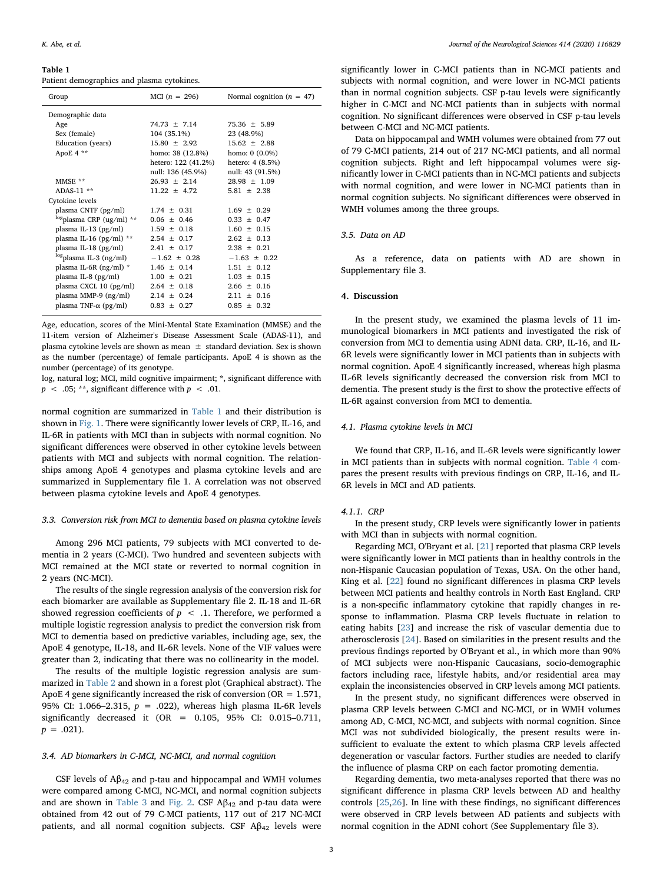#### <span id="page-2-0"></span>Table 1

Patient demographics and plasma cytokines.

| Group                                 | MCI $(n = 296)$     | Normal cognition ( $n = 47$ ) |
|---------------------------------------|---------------------|-------------------------------|
| Demographic data                      |                     |                               |
| Age                                   | $74.73 \pm 7.14$    | $75.36 \pm 5.89$              |
| Sex (female)                          | 104 (35.1%)         | 23 (48.9%)                    |
| Education (years)                     | $15.80 \pm 2.92$    | $15.62 + 2.88$                |
| ApoE 4 **                             | homo: 38 (12.8%)    | homo: $0(0.0\%)$              |
|                                       | hetero: 122 (41.2%) | hetero: 4 (8.5%)              |
|                                       | null: 136 (45.9%)   | null: 43 (91.5%)              |
| MMSE **                               | $26.93 \pm 2.14$    | $28.98 \pm 1.09$              |
| $ADAS-11$ **                          | $11.22 \pm 4.72$    | $5.81 \pm 2.38$               |
| Cytokine levels                       |                     |                               |
| plasma CNTF (pg/ml)                   | $1.74 \pm 0.31$     | $1.69 \pm 0.29$               |
| $\log_{\text{plasma CRP (ug/ml)}}$ ** | $0.06 \pm 0.46$     | $0.33 \pm 0.47$               |
| plasma IL-13 $(pg/ml)$                | $1.59 \pm 0.18$     | $1.60 \pm 0.15$               |
| plasma IL-16 $(pg/ml)$ **             | $2.54 \pm 0.17$     | $2.62 \pm 0.13$               |
| plasma IL-18 $(pg/ml)$                | $2.41 \pm 0.17$     | $2.38 \pm 0.21$               |
| <sup>log</sup> plasma IL-3 (ng/ml)    | $-1.62 \pm 0.28$    | $-1.63 \pm 0.22$              |
| plasma IL-6R $(ng/ml)$ *              | $1.46 \pm 0.14$     | $1.51 \pm 0.12$               |
| plasma IL-8 $(pg/ml)$                 | $1.00 \pm 0.21$     | $1.03 \pm 0.15$               |
| plasma CXCL 10 (pg/ml)                | $2.64 \pm 0.18$     | $2.66 + 0.16$                 |
| plasma MMP-9 $(ng/ml)$                | $2.14 \pm 0.24$     | $2.11 \pm 0.16$               |
| plasma TNF- $\alpha$ (pg/ml)          | $0.83 \pm 0.27$     | $0.85 \pm 0.32$               |
|                                       |                     |                               |

Age, education, scores of the Mini-Mental State Examination (MMSE) and the 11-item version of Alzheimer's Disease Assessment Scale (ADAS-11), and plasma cytokine levels are shown as mean  $\pm$  standard deviation. Sex is shown as the number (percentage) of female participants. ApoE 4 is shown as the number (percentage) of its genotype.

log, natural log; MCI, mild cognitive impairment; \*, significant difference with  $p < .05$ ; \*\*, significant difference with  $p < .01$ .

normal cognition are summarized in [Table 1](#page-2-0) and their distribution is shown in [Fig. 1.](#page-3-0) There were significantly lower levels of CRP, IL-16, and IL-6R in patients with MCI than in subjects with normal cognition. No significant differences were observed in other cytokine levels between patients with MCI and subjects with normal cognition. The relationships among ApoE 4 genotypes and plasma cytokine levels and are summarized in Supplementary file 1. A correlation was not observed between plasma cytokine levels and ApoE 4 genotypes.

#### 3.3. Conversion risk from MCI to dementia based on plasma cytokine levels

Among 296 MCI patients, 79 subjects with MCI converted to dementia in 2 years (C-MCI). Two hundred and seventeen subjects with MCI remained at the MCI state or reverted to normal cognition in 2 years (NC-MCI).

The results of the single regression analysis of the conversion risk for each biomarker are available as Supplementary file 2. IL-18 and IL-6R showed regression coefficients of  $p < 0.1$ . Therefore, we performed a multiple logistic regression analysis to predict the conversion risk from MCI to dementia based on predictive variables, including age, sex, the ApoE 4 genotype, IL-18, and IL-6R levels. None of the VIF values were greater than 2, indicating that there was no collinearity in the model.

The results of the multiple logistic regression analysis are summarized in [Table 2](#page-4-0) and shown in a forest plot (Graphical abstract). The ApoE 4 gene significantly increased the risk of conversion ( $OR = 1.571$ , 95% CI: 1.066-2.315,  $p = .022$ ), whereas high plasma IL-6R levels significantly decreased it (OR = 0.105, 95% CI: 0.015–0.711,  $p = .021$ ).

## 3.4. AD biomarkers in C-MCI, NC-MCI, and normal cognition

CSF levels of  $A\beta_{42}$  and p-tau and hippocampal and WMH volumes were compared among C-MCI, NC-MCI, and normal cognition subjects and are shown in [Table 3](#page-4-1) and [Fig. 2.](#page-5-0) CSF  $A\beta_{42}$  and p-tau data were obtained from 42 out of 79 C-MCI patients, 117 out of 217 NC-MCI patients, and all normal cognition subjects. CSF  $A\beta_{42}$  levels were

significantly lower in C-MCI patients than in NC-MCI patients and subjects with normal cognition, and were lower in NC-MCI patients than in normal cognition subjects. CSF p-tau levels were significantly higher in C-MCI and NC-MCI patients than in subjects with normal cognition. No significant differences were observed in CSF p-tau levels between C-MCI and NC-MCI patients.

Data on hippocampal and WMH volumes were obtained from 77 out of 79 C-MCI patients, 214 out of 217 NC-MCI patients, and all normal cognition subjects. Right and left hippocampal volumes were significantly lower in C-MCI patients than in NC-MCI patients and subjects with normal cognition, and were lower in NC-MCI patients than in normal cognition subjects. No significant differences were observed in WMH volumes among the three groups.

#### 3.5. Data on AD

As a reference, data on patients with AD are shown in Supplementary file 3.

# 4. Discussion

In the present study, we examined the plasma levels of 11 immunological biomarkers in MCI patients and investigated the risk of conversion from MCI to dementia using ADNI data. CRP, IL-16, and IL-6R levels were significantly lower in MCI patients than in subjects with normal cognition. ApoE 4 significantly increased, whereas high plasma IL-6R levels significantly decreased the conversion risk from MCI to dementia. The present study is the first to show the protective effects of IL-6R against conversion from MCI to dementia.

### 4.1. Plasma cytokine levels in MCI

We found that CRP, IL-16, and IL-6R levels were significantly lower in MCI patients than in subjects with normal cognition. [Table 4](#page-6-4) compares the present results with previous findings on CRP, IL-16, and IL-6R levels in MCI and AD patients.

#### 4.1.1. CRP

In the present study, CRP levels were significantly lower in patients with MCI than in subjects with normal cognition.

Regarding MCI, O'Bryant et al. [\[21](#page-7-8)] reported that plasma CRP levels were significantly lower in MCI patients than in healthy controls in the non-Hispanic Caucasian population of Texas, USA. On the other hand, King et al. [\[22](#page-7-9)] found no significant differences in plasma CRP levels between MCI patients and healthy controls in North East England. CRP is a non-specific inflammatory cytokine that rapidly changes in response to inflammation. Plasma CRP levels fluctuate in relation to eating habits [[23\]](#page-7-10) and increase the risk of vascular dementia due to atherosclerosis [\[24](#page-7-11)]. Based on similarities in the present results and the previous findings reported by O'Bryant et al., in which more than 90% of MCI subjects were non-Hispanic Caucasians, socio-demographic factors including race, lifestyle habits, and/or residential area may explain the inconsistencies observed in CRP levels among MCI patients.

In the present study, no significant differences were observed in plasma CRP levels between C-MCI and NC-MCI, or in WMH volumes among AD, C-MCI, NC-MCI, and subjects with normal cognition. Since MCI was not subdivided biologically, the present results were insufficient to evaluate the extent to which plasma CRP levels affected degeneration or vascular factors. Further studies are needed to clarify the influence of plasma CRP on each factor promoting dementia.

Regarding dementia, two meta-analyses reported that there was no significant difference in plasma CRP levels between AD and healthy controls [[25](#page-7-12)[,26](#page-7-13)]. In line with these findings, no significant differences were observed in CRP levels between AD patients and subjects with normal cognition in the ADNI cohort (See Supplementary file 3).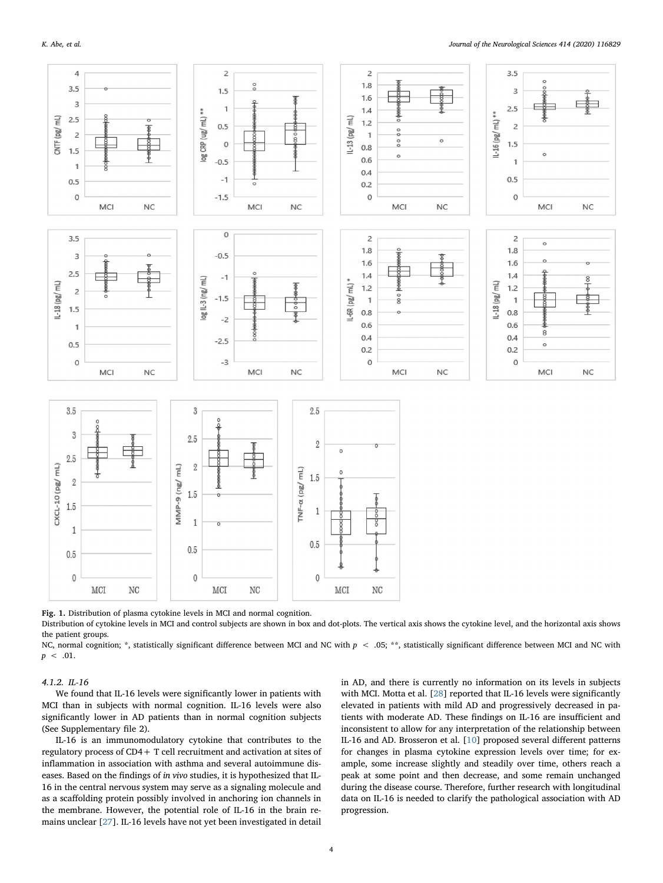<span id="page-3-0"></span>

Fig. 1. Distribution of plasma cytokine levels in MCI and normal cognition.

Distribution of cytokine levels in MCI and control subjects are shown in box and dot-plots. The vertical axis shows the cytokine level, and the horizontal axis shows the patient groups.

NC, normal cognition; \*, statistically significant difference between MCI and NC with  $p < .05$ ; \*\*, statistically significant difference between MCI and NC with  $p < .01$ .

#### 4.1.2. IL-16

We found that IL-16 levels were significantly lower in patients with MCI than in subjects with normal cognition. IL-16 levels were also significantly lower in AD patients than in normal cognition subjects (See Supplementary file 2).

IL-16 is an immunomodulatory cytokine that contributes to the regulatory process of CD4+ T cell recruitment and activation at sites of inflammation in association with asthma and several autoimmune diseases. Based on the findings of in vivo studies, it is hypothesized that IL-16 in the central nervous system may serve as a signaling molecule and as a scaffolding protein possibly involved in anchoring ion channels in the membrane. However, the potential role of IL-16 in the brain remains unclear [\[27](#page-7-14)]. IL-16 levels have not yet been investigated in detail

in AD, and there is currently no information on its levels in subjects with MCI. Motta et al. [[28](#page-7-15)] reported that IL-16 levels were significantly elevated in patients with mild AD and progressively decreased in patients with moderate AD. These findings on IL-16 are insufficient and inconsistent to allow for any interpretation of the relationship between IL-16 and AD. Brosseron et al. [\[10](#page-7-3)] proposed several different patterns for changes in plasma cytokine expression levels over time; for example, some increase slightly and steadily over time, others reach a peak at some point and then decrease, and some remain unchanged during the disease course. Therefore, further research with longitudinal data on IL-16 is needed to clarify the pathological association with AD progression.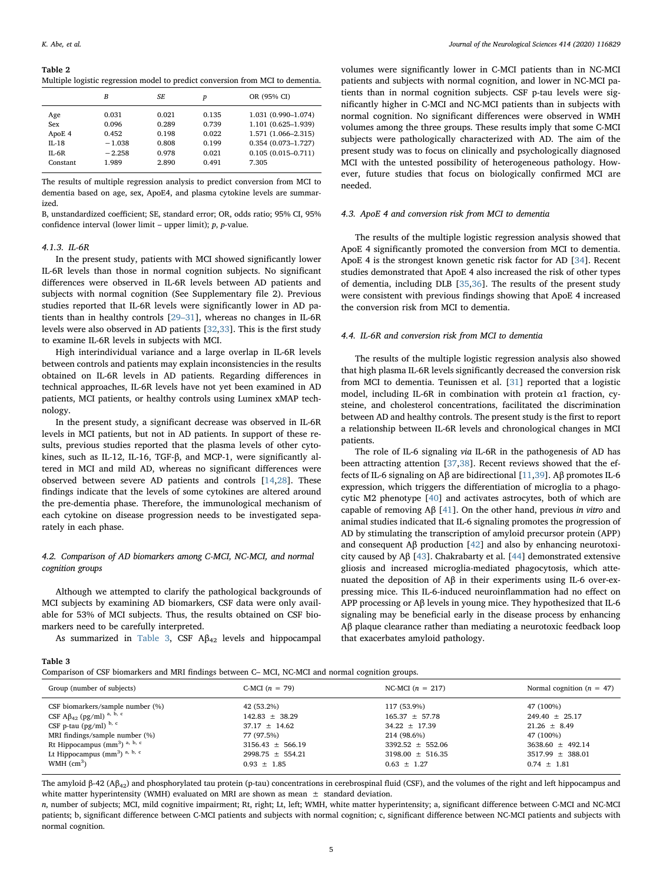#### <span id="page-4-0"></span>Table 2

Multiple logistic regression model to predict conversion from MCI to dementia.

|           | B        | SF.   | p     | OR (95% CI)            |
|-----------|----------|-------|-------|------------------------|
| Age       | 0.031    | 0.021 | 0.135 | 1.031 (0.990-1.074)    |
| Sex       | 0.096    | 0.289 | 0.739 | 1.101 (0.625-1.939)    |
| ApoE 4    | 0.452    | 0.198 | 0.022 | 1.571 (1.066-2.315)    |
| $II - 18$ | $-1.038$ | 0.808 | 0.199 | $0.354(0.073 - 1.727)$ |
| IL-6R     | $-2.258$ | 0.978 | 0.021 | $0.105(0.015 - 0.711)$ |
| Constant  | 1.989    | 2.890 | 0.491 | 7.305                  |

The results of multiple regression analysis to predict conversion from MCI to dementia based on age, sex, ApoE4, and plasma cytokine levels are summarized.

B, unstandardized coefficient; SE, standard error; OR, odds ratio; 95% CI, 95% confidence interval (lower limit – upper limit);  $p$ ,  $p$ -value.

#### 4.1.3. IL-6R

In the present study, patients with MCI showed significantly lower IL-6R levels than those in normal cognition subjects. No significant differences were observed in IL-6R levels between AD patients and subjects with normal cognition (See Supplementary file 2). Previous studies reported that IL-6R levels were significantly lower in AD patients than in healthy controls [29–[31](#page-7-16)], whereas no changes in IL-6R levels were also observed in AD patients [\[32](#page-7-17)[,33](#page-7-18)]. This is the first study to examine IL-6R levels in subjects with MCI.

High interindividual variance and a large overlap in IL-6R levels between controls and patients may explain inconsistencies in the results obtained on IL-6R levels in AD patients. Regarding differences in technical approaches, IL-6R levels have not yet been examined in AD patients, MCI patients, or healthy controls using Luminex xMAP technology.

In the present study, a significant decrease was observed in IL-6R levels in MCI patients, but not in AD patients. In support of these results, previous studies reported that the plasma levels of other cytokines, such as IL-12, IL-16, TGF-β, and MCP-1, were significantly altered in MCI and mild AD, whereas no significant differences were observed between severe AD patients and controls [[14,](#page-7-19)[28](#page-7-15)]. These findings indicate that the levels of some cytokines are altered around the pre-dementia phase. Therefore, the immunological mechanism of each cytokine on disease progression needs to be investigated separately in each phase.

# 4.2. Comparison of AD biomarkers among C-MCI, NC-MCI, and normal cognition groups

Although we attempted to clarify the pathological backgrounds of MCI subjects by examining AD biomarkers, CSF data were only available for 53% of MCI subjects. Thus, the results obtained on CSF biomarkers need to be carefully interpreted.

As summarized in [Table 3,](#page-4-1) CSF  $A\beta_{42}$  levels and hippocampal

<span id="page-4-1"></span>Comparison of CSF biomarkers and MRI findings between C– MCI, NC-MCI and normal cognition groups.

volumes were significantly lower in C-MCI patients than in NC-MCI patients and subjects with normal cognition, and lower in NC-MCI patients than in normal cognition subjects. CSF p-tau levels were significantly higher in C-MCI and NC-MCI patients than in subjects with normal cognition. No significant differences were observed in WMH volumes among the three groups. These results imply that some C-MCI subjects were pathologically characterized with AD. The aim of the present study was to focus on clinically and psychologically diagnosed MCI with the untested possibility of heterogeneous pathology. However, future studies that focus on biologically confirmed MCI are needed.

#### 4.3. ApoE 4 and conversion risk from MCI to dementia

The results of the multiple logistic regression analysis showed that ApoE 4 significantly promoted the conversion from MCI to dementia. ApoE 4 is the strongest known genetic risk factor for AD [\[34](#page-7-20)]. Recent studies demonstrated that ApoE 4 also increased the risk of other types of dementia, including DLB [[35,](#page-7-21)[36](#page-7-22)]. The results of the present study were consistent with previous findings showing that ApoE 4 increased the conversion risk from MCI to dementia.

## 4.4. IL-6R and conversion risk from MCI to dementia

The results of the multiple logistic regression analysis also showed that high plasma IL-6R levels significantly decreased the conversion risk from MCI to dementia. Teunissen et al. [[31\]](#page-7-23) reported that a logistic model, including IL-6R in combination with protein α1 fraction, cysteine, and cholesterol concentrations, facilitated the discrimination between AD and healthy controls. The present study is the first to report a relationship between IL-6R levels and chronological changes in MCI patients.

The role of IL-6 signaling via IL-6R in the pathogenesis of AD has been attracting attention [[37,](#page-7-24)[38](#page-7-25)]. Recent reviews showed that the effects of IL-6 signaling on Aβ are bidirectional [\[11](#page-7-4)[,39](#page-7-26)]. Aβ promotes IL-6 expression, which triggers the differentiation of microglia to a phagocytic M2 phenotype [\[40](#page-7-27)] and activates astrocytes, both of which are capable of removing Aβ [[41\]](#page-7-28). On the other hand, previous in vitro and animal studies indicated that IL-6 signaling promotes the progression of AD by stimulating the transcription of amyloid precursor protein (APP) and consequent Aβ production [[42\]](#page-7-29) and also by enhancing neurotoxicity caused by Aβ [\[43](#page-7-30)]. Chakrabarty et al. [[44\]](#page-7-31) demonstrated extensive gliosis and increased microglia-mediated phagocytosis, which attenuated the deposition of Aβ in their experiments using IL-6 over-expressing mice. This IL-6-induced neuroinflammation had no effect on APP processing or Aβ levels in young mice. They hypothesized that IL-6 signaling may be beneficial early in the disease process by enhancing Aβ plaque clearance rather than mediating a neurotoxic feedback loop that exacerbates amyloid pathology.

| Group (number of subjects)                   | C-MCI $(n = 79)$     | NC-MCI $(n = 217)$   | Normal cognition ( $n = 47$ ) |
|----------------------------------------------|----------------------|----------------------|-------------------------------|
| CSF biomarkers/sample number (%)             | 42 (53.2%)           | 117 (53.9%)          | 47 (100%)                     |
| CSF $A\beta_{42}$ (pg/ml) <sup>a, b, c</sup> | $142.83 \pm 38.29$   | $165.37 \pm 57.78$   | $249.40 \pm 25.17$            |
| CSF p-tau $(pg/ml)^{b, c}$                   | $37.17 \pm 14.62$    | $34.22 \pm 17.39$    | $21.26 \pm 8.49$              |
| MRI findings/sample number (%)               | 77 (97.5%)           | 214 (98.6%)          | 47 (100%)                     |
| Rt Hippocampus $(mm3)$ <sup>a, b, c</sup>    | $3156.43 \pm 566.19$ | $3392.52 \pm 552.06$ | $3638.60 \pm 492.14$          |
| Lt Hippocampus $(mm3)$ <sup>a, b, c</sup>    | $2998.75 \pm 554.21$ | $3198.00 \pm 516.35$ | $3517.99 \pm 388.01$          |
| WMH $\rm (cm^3)$                             | $0.93 \pm 1.85$      | $0.63 \pm 1.27$      | $0.74 \pm 1.81$               |
|                                              |                      |                      |                               |

The amyloid β-42 (Aβ42) and phosphorylated tau protein (p-tau) concentrations in cerebrospinal fluid (CSF), and the volumes of the right and left hippocampus and white matter hyperintensity (WMH) evaluated on MRI are shown as mean  $\pm$  standard deviation.

n, number of subjects; MCI, mild cognitive impairment; Rt, right; Lt, left; WMH, white matter hyperintensity; a, significant difference between C-MCI and NC-MCI patients; b, significant difference between C-MCI patients and subjects with normal cognition; c, significant difference between NC-MCI patients and subjects with normal cognition.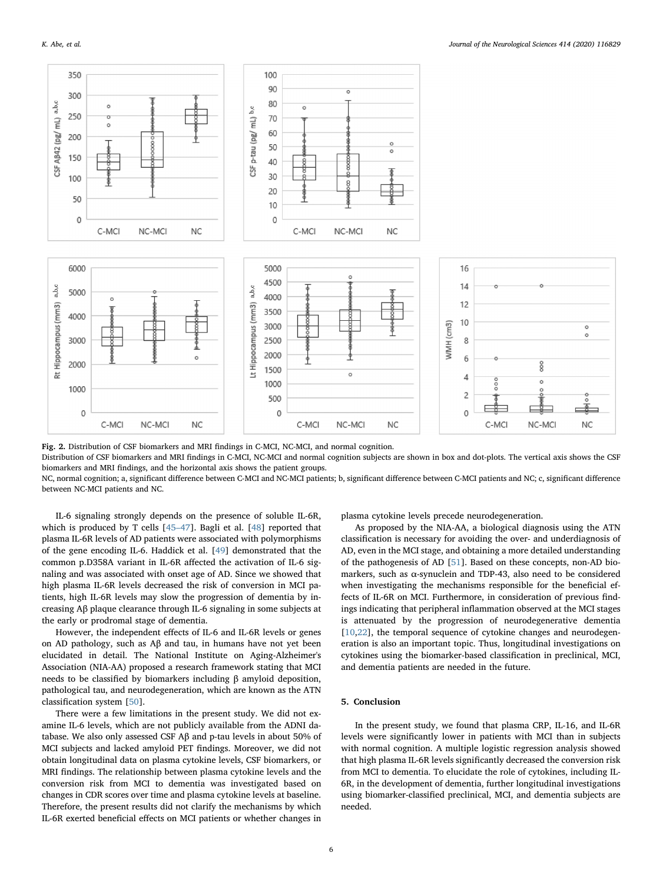<span id="page-5-0"></span>

Fig. 2. Distribution of CSF biomarkers and MRI findings in C-MCI, NC-MCI, and normal cognition.

Distribution of CSF biomarkers and MRI findings in C-MCI, NC-MCI and normal cognition subjects are shown in box and dot-plots. The vertical axis shows the CSF biomarkers and MRI findings, and the horizontal axis shows the patient groups.

NC, normal cognition; a, significant difference between C-MCI and NC-MCI patients; b, significant difference between C-MCI patients and NC; c, significant difference between NC-MCI patients and NC.

IL-6 signaling strongly depends on the presence of soluble IL-6R, which is produced by T cells [\[45](#page-7-32)–47]. Bagli et al. [[48\]](#page-7-33) reported that plasma IL-6R levels of AD patients were associated with polymorphisms of the gene encoding IL-6. Haddick et al. [\[49](#page-7-34)] demonstrated that the common p.D358A variant in IL-6R affected the activation of IL-6 signaling and was associated with onset age of AD. Since we showed that high plasma IL-6R levels decreased the risk of conversion in MCI patients, high IL-6R levels may slow the progression of dementia by increasing Aβ plaque clearance through IL-6 signaling in some subjects at the early or prodromal stage of dementia.

However, the independent effects of IL-6 and IL-6R levels or genes on AD pathology, such as Aβ and tau, in humans have not yet been elucidated in detail. The National Institute on Aging-Alzheimer's Association (NIA-AA) proposed a research framework stating that MCI needs to be classified by biomarkers including β amyloid deposition, pathological tau, and neurodegeneration, which are known as the ATN classification system [[50\]](#page-7-35).

There were a few limitations in the present study. We did not examine IL-6 levels, which are not publicly available from the ADNI database. We also only assessed CSF Aβ and p-tau levels in about 50% of MCI subjects and lacked amyloid PET findings. Moreover, we did not obtain longitudinal data on plasma cytokine levels, CSF biomarkers, or MRI findings. The relationship between plasma cytokine levels and the conversion risk from MCI to dementia was investigated based on changes in CDR scores over time and plasma cytokine levels at baseline. Therefore, the present results did not clarify the mechanisms by which IL-6R exerted beneficial effects on MCI patients or whether changes in

plasma cytokine levels precede neurodegeneration.

As proposed by the NIA-AA, a biological diagnosis using the ATN classification is necessary for avoiding the over- and underdiagnosis of AD, even in the MCI stage, and obtaining a more detailed understanding of the pathogenesis of AD [\[51](#page-7-36)]. Based on these concepts, non-AD biomarkers, such as α-synuclein and TDP-43, also need to be considered when investigating the mechanisms responsible for the beneficial effects of IL-6R on MCI. Furthermore, in consideration of previous findings indicating that peripheral inflammation observed at the MCI stages is attenuated by the progression of neurodegenerative dementia [[10](#page-7-3)[,22](#page-7-9)], the temporal sequence of cytokine changes and neurodegeneration is also an important topic. Thus, longitudinal investigations on cytokines using the biomarker-based classification in preclinical, MCI, and dementia patients are needed in the future.

# 5. Conclusion

In the present study, we found that plasma CRP, IL-16, and IL-6R levels were significantly lower in patients with MCI than in subjects with normal cognition. A multiple logistic regression analysis showed that high plasma IL-6R levels significantly decreased the conversion risk from MCI to dementia. To elucidate the role of cytokines, including IL-6R, in the development of dementia, further longitudinal investigations using biomarker-classified preclinical, MCI, and dementia subjects are needed.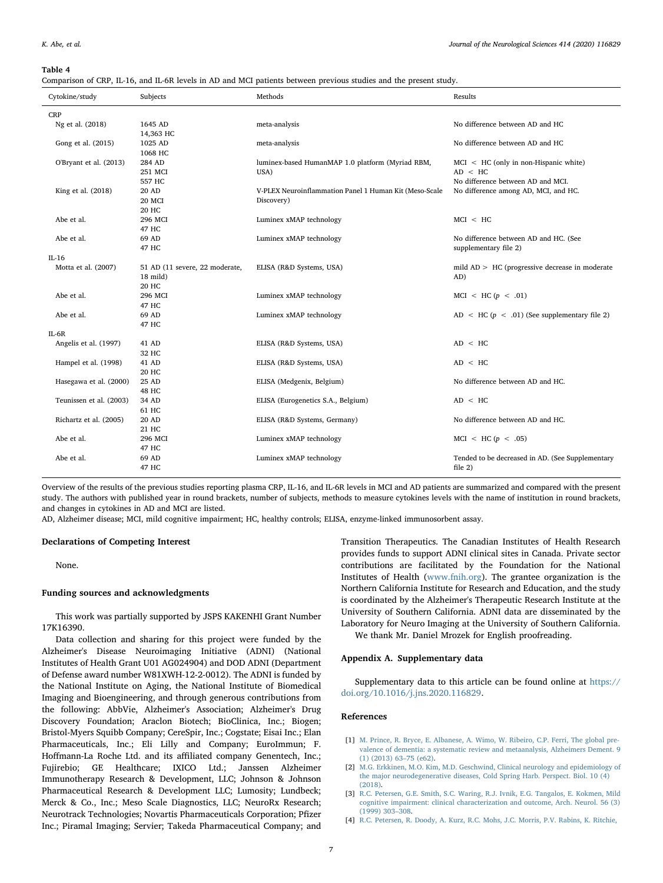#### <span id="page-6-4"></span>Table 4

|  |  |  |  |  | Comparison of CRP, IL-16, and IL-6R levels in AD and MCI patients between previous studies and the present study. |
|--|--|--|--|--|-------------------------------------------------------------------------------------------------------------------|
|  |  |  |  |  |                                                                                                                   |

| Cytokine/study          | Subjects                       | Methods                                                | Results                                           |
|-------------------------|--------------------------------|--------------------------------------------------------|---------------------------------------------------|
| <b>CRP</b>              |                                |                                                        |                                                   |
| Ng et al. (2018)        | 1645 AD                        | meta-analysis                                          | No difference between AD and HC                   |
|                         | 14,363 HC                      |                                                        |                                                   |
| Gong et al. (2015)      | 1025 AD                        | meta-analysis                                          | No difference between AD and HC                   |
|                         | 1068 HC                        |                                                        |                                                   |
| O'Bryant et al. (2013)  | 284 AD                         | luminex-based HumanMAP 1.0 platform (Myriad RBM,       | $MCI < HC$ (only in non-Hispanic white)           |
|                         | 251 MCI                        | USA)                                                   | AD < HC                                           |
|                         | 557 HC                         |                                                        | No difference between AD and MCI.                 |
| King et al. (2018)      | 20 AD                          | V-PLEX Neuroinflammation Panel 1 Human Kit (Meso-Scale | No difference among AD, MCI, and HC.              |
|                         | 20 MCI                         | Discovery)                                             |                                                   |
|                         | 20 HC                          |                                                        |                                                   |
| Abe et al.              | 296 MCI                        | Luminex xMAP technology                                | MCI < HC                                          |
|                         | 47 HC                          |                                                        |                                                   |
| Abe et al.              | 69 AD                          | Luminex xMAP technology                                | No difference between AD and HC. (See             |
|                         | 47 HC                          |                                                        | supplementary file 2)                             |
| $IL-16$                 |                                |                                                        |                                                   |
| Motta et al. (2007)     | 51 AD (11 severe, 22 moderate, | ELISA (R&D Systems, USA)                               | mild $AD > HC$ (progressive decrease in moderate  |
|                         | 18 mild)                       |                                                        | AD)                                               |
|                         | <b>20 HC</b>                   |                                                        |                                                   |
| Abe et al.              | 296 MCI                        | Luminex xMAP technology                                | $MCI \le HC(p \le .01)$                           |
|                         | 47 HC                          |                                                        |                                                   |
| Abe et al.              | 69 AD                          | Luminex xMAP technology                                | AD < HC $(p \lt 0.01)$ (See supplementary file 2) |
|                         | 47 HC                          |                                                        |                                                   |
| $IL-6R$                 |                                |                                                        |                                                   |
| Angelis et al. (1997)   | 41 AD                          | ELISA (R&D Systems, USA)                               | AD < HC                                           |
|                         | 32 HC                          |                                                        |                                                   |
| Hampel et al. (1998)    | 41 AD                          | ELISA (R&D Systems, USA)                               | AD < HC                                           |
|                         | 20 HC                          |                                                        |                                                   |
| Hasegawa et al. (2000)  | 25 AD                          | ELISA (Medgenix, Belgium)                              | No difference between AD and HC.                  |
|                         | <b>48 HC</b>                   |                                                        |                                                   |
| Teunissen et al. (2003) | 34 AD                          | ELISA (Eurogenetics S.A., Belgium)                     | AD < HC                                           |
|                         | 61 HC                          |                                                        |                                                   |
| Richartz et al. (2005)  | 20 AD                          | ELISA (R&D Systems, Germany)                           | No difference between AD and HC.                  |
|                         | 21 HC                          |                                                        |                                                   |
| Abe et al.              | 296 MCI                        | Luminex xMAP technology                                | MCI < HC(p < .05)                                 |
|                         | 47 HC                          |                                                        |                                                   |
| Abe et al.              | 69 AD                          | Luminex xMAP technology                                | Tended to be decreased in AD. (See Supplementary  |
|                         | 47 HC                          |                                                        | file $2)$                                         |

Overview of the results of the previous studies reporting plasma CRP, IL-16, and IL-6R levels in MCI and AD patients are summarized and compared with the present study. The authors with published year in round brackets, number of subjects, methods to measure cytokines levels with the name of institution in round brackets, and changes in cytokines in AD and MCI are listed.

AD, Alzheimer disease; MCI, mild cognitive impairment; HC, healthy controls; ELISA, enzyme-linked immunosorbent assay.

## Declarations of Competing Interest

None.

# Funding sources and acknowledgments

This work was partially supported by JSPS KAKENHI Grant Number 17K16390.

Data collection and sharing for this project were funded by the Alzheimer's Disease Neuroimaging Initiative (ADNI) (National Institutes of Health Grant U01 AG024904) and DOD ADNI (Department of Defense award number W81XWH-12-2-0012). The ADNI is funded by the National Institute on Aging, the National Institute of Biomedical Imaging and Bioengineering, and through generous contributions from the following: AbbVie, Alzheimer's Association; Alzheimer's Drug Discovery Foundation; Araclon Biotech; BioClinica, Inc.; Biogen; Bristol-Myers Squibb Company; CereSpir, Inc.; Cogstate; Eisai Inc.; Elan Pharmaceuticals, Inc.; Eli Lilly and Company; EuroImmun; F. Hoffmann-La Roche Ltd. and its affiliated company Genentech, Inc.; Fujirebio; GE Healthcare; IXICO Ltd.; Janssen Alzheimer Immunotherapy Research & Development, LLC; Johnson & Johnson Pharmaceutical Research & Development LLC; Lumosity; Lundbeck; Merck & Co., Inc.; Meso Scale Diagnostics, LLC; NeuroRx Research; Neurotrack Technologies; Novartis Pharmaceuticals Corporation; Pfizer Inc.; Piramal Imaging; Servier; Takeda Pharmaceutical Company; and

Transition Therapeutics. The Canadian Institutes of Health Research provides funds to support ADNI clinical sites in Canada. Private sector contributions are facilitated by the Foundation for the National Institutes of Health ([www.fnih.org\)](http://www.fnih.org). The grantee organization is the Northern California Institute for Research and Education, and the study is coordinated by the Alzheimer's Therapeutic Research Institute at the University of Southern California. ADNI data are disseminated by the Laboratory for Neuro Imaging at the University of Southern California.

We thank Mr. Daniel Mrozek for English proofreading.

## Appendix A. Supplementary data

Supplementary data to this article can be found online at [https://](https://doi.org/10.1016/j.jns.2020.116829) [doi.org/10.1016/j.jns.2020.116829.](https://doi.org/10.1016/j.jns.2020.116829)

#### References

- <span id="page-6-0"></span>[1] [M. Prince, R. Bryce, E. Albanese, A. Wimo, W. Ribeiro, C.P. Ferri, The global pre](http://refhub.elsevier.com/S0022-510X(20)30165-9/rf0005)[valence of dementia: a systematic review and metaanalysis, Alzheimers Dement. 9](http://refhub.elsevier.com/S0022-510X(20)30165-9/rf0005) [\(1\) \(2013\) 63](http://refhub.elsevier.com/S0022-510X(20)30165-9/rf0005)–75 (e62).
- <span id="page-6-1"></span>[2] [M.G. Erkkinen, M.O. Kim, M.D. Geschwind, Clinical neurology and epidemiology of](http://refhub.elsevier.com/S0022-510X(20)30165-9/rf0010) [the major neurodegenerative diseases, Cold Spring Harb. Perspect. Biol. 10 \(4\)](http://refhub.elsevier.com/S0022-510X(20)30165-9/rf0010) [\(2018\).](http://refhub.elsevier.com/S0022-510X(20)30165-9/rf0010)
- <span id="page-6-2"></span>[3] [R.C. Petersen, G.E. Smith, S.C. Waring, R.J. Ivnik, E.G. Tangalos, E. Kokmen, Mild](http://refhub.elsevier.com/S0022-510X(20)30165-9/rf0015) [cognitive impairment: clinical characterization and outcome, Arch. Neurol. 56 \(3\)](http://refhub.elsevier.com/S0022-510X(20)30165-9/rf0015) [\(1999\) 303](http://refhub.elsevier.com/S0022-510X(20)30165-9/rf0015)–308.
- <span id="page-6-3"></span>[4] [R.C. Petersen, R. Doody, A. Kurz, R.C. Mohs, J.C. Morris, P.V. Rabins, K. Ritchie,](http://refhub.elsevier.com/S0022-510X(20)30165-9/rf0020)